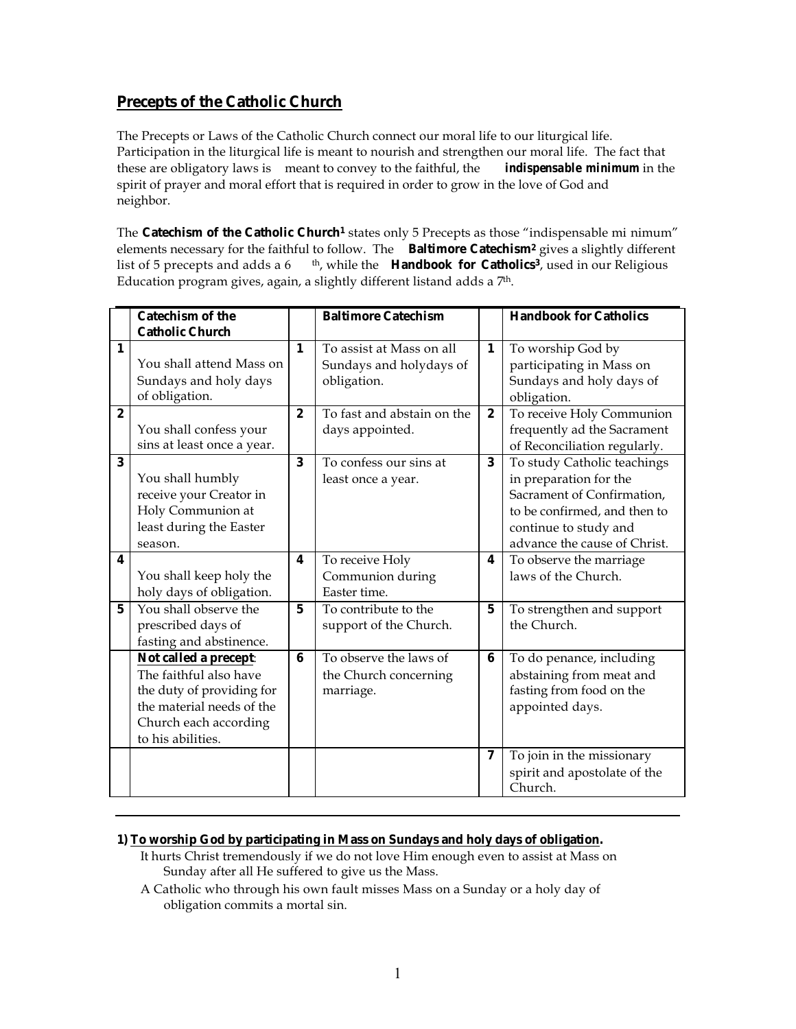# **Precepts of the Catholic Church**

The Precepts or Laws of the Catholic Church connect our moral life to our liturgical life. Participation in the liturgical life is meant to nourish and strengthen our moral life. The fact that these are obligatory laws is meant to convey to the faithful, the *indispensable minimum* in the spirit of prayer and moral effort that is required in order to grow in the love of God and neighbor.

The **Catechism of the Catholic Church1** states only 5 Precepts as those "indispensable mi nimum" elements necessary for the faithful to follow. The **Baltimore Catechism2** gives a slightly different list of 5 precepts and adds a 6 <sup>th</sup>, while the **Handbook for Catholics**<sup>3</sup>, used in our Religious Education program gives, again, a slightly different listand adds a 7<sup>th</sup>.

|                  | <b>Catechism of the</b>    |                  | <b>Baltimore Catechism</b> |              | <b>Handbook for Catholics</b> |
|------------------|----------------------------|------------------|----------------------------|--------------|-------------------------------|
|                  | <b>Catholic Church</b>     |                  |                            |              |                               |
| $\mathbf{1}$     |                            | $\mathbf{1}$     | To assist at Mass on all   | $\mathbf{1}$ | To worship God by             |
|                  | You shall attend Mass on   |                  | Sundays and holydays of    |              | participating in Mass on      |
|                  | Sundays and holy days      |                  | obligation.                |              | Sundays and holy days of      |
|                  | of obligation.             |                  |                            |              | obligation.                   |
| $\boldsymbol{2}$ |                            | $\boldsymbol{2}$ | To fast and abstain on the | $\bf{2}$     | To receive Holy Communion     |
|                  | You shall confess your     |                  | days appointed.            |              | frequently ad the Sacrament   |
|                  | sins at least once a year. |                  |                            |              | of Reconciliation regularly.  |
| 3                |                            | 3                | To confess our sins at     | 3            | To study Catholic teachings   |
|                  | You shall humbly           |                  | least once a year.         |              | in preparation for the        |
|                  | receive your Creator in    |                  |                            |              | Sacrament of Confirmation,    |
|                  | Holy Communion at          |                  |                            |              | to be confirmed, and then to  |
|                  | least during the Easter    |                  |                            |              | continue to study and         |
|                  | season.                    |                  |                            |              | advance the cause of Christ.  |
| 4                |                            | 4                | To receive Holy            | 4            | To observe the marriage       |
|                  | You shall keep holy the    |                  | Communion during           |              | laws of the Church.           |
|                  | holy days of obligation.   |                  | Easter time.               |              |                               |
| $5\phantom{.0}$  | You shall observe the      | $\mathbf{5}$     | To contribute to the       | $\mathbf 5$  | To strengthen and support     |
|                  | prescribed days of         |                  | support of the Church.     |              | the Church.                   |
|                  | fasting and abstinence.    |                  |                            |              |                               |
|                  | Not called a precept:      | 6                | To observe the laws of     | 6            | To do penance, including      |
|                  | The faithful also have     |                  | the Church concerning      |              | abstaining from meat and      |
|                  | the duty of providing for  |                  | marriage.                  |              | fasting from food on the      |
|                  | the material needs of the  |                  |                            |              | appointed days.               |
|                  | Church each according      |                  |                            |              |                               |
|                  | to his abilities.          |                  |                            |              |                               |
|                  |                            |                  |                            | 7            | To join in the missionary     |
|                  |                            |                  |                            |              | spirit and apostolate of the  |
|                  |                            |                  |                            |              | Church.                       |

# **1) To worship God by participating in Mass on Sundays and holy days of obligation.**

- It hurts Christ tremendously if we do not love Him enough even to assist at Mass on Sunday after all He suffered to give us the Mass.
- A Catholic who through his own fault misses Mass on a Sunday or a holy day of obligation commits a mortal sin.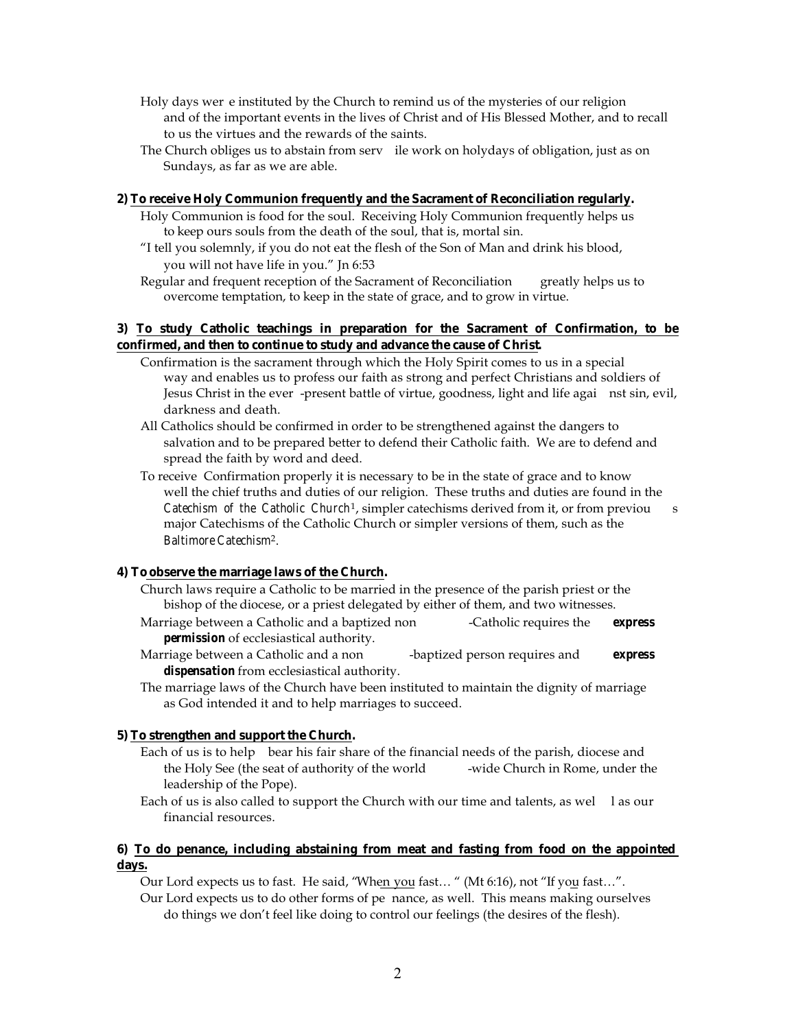- Holy days wer e instituted by the Church to remind us of the mysteries of our religion and of the important events in the lives of Christ and of His Blessed Mother, and to recall to us the virtues and the rewards of the saints.
- The Church obliges us to abstain from serv ile work on holydays of obligation, just as on Sundays, as far as we are able.

#### **2) To receive Holy Communion frequently and the Sacrament of Reconciliation regularly.**

- Holy Communion is food for the soul. Receiving Holy Communion frequently helps us to keep ours souls from the death of the soul, that is, mortal sin.
- "I tell you solemnly, if you do not eat the flesh of the Son of Man and drink his blood, you will not have life in you." Jn 6:53
- Regular and frequent reception of the Sacrament of Reconciliation greatly helps us to overcome temptation, to keep in the state of grace, and to grow in virtue.

# **3) To study Catholic teachings in preparation for the Sacrament of Confirmation, to be confirmed, and then to continue to study and advance the cause of Christ.**

- Confirmation is the sacrament through which the Holy Spirit comes to us in a special way and enables us to profess our faith as strong and perfect Christians and soldiers of Jesus Christ in the ever -present battle of virtue, goodness, light and life agai nst sin, evil, darkness and death.
- All Catholics should be confirmed in order to be strengthened against the dangers to salvation and to be prepared better to defend their Catholic faith. We are to defend and spread the faith by word and deed.
- To receive Confirmation properly it is necessary to be in the state of grace and to know well the chief truths and duties of our religion. These truths and duties are found in the *Catechism of the Catholic Church*1, simpler catechisms derived from it, or from previou s major Catechisms of the Catholic Church or simpler versions of them, such as the *Baltimore Catechism*2.

# **4) To observe the marriage laws of the Church.**

- Church laws require a Catholic to be married in the presence of the parish priest or the bishop of the diocese, or a priest delegated by either of them, and two witnesses.
- Marriage between a Catholic and a baptized non -Catholic requires the *express permission* of ecclesiastical authority.
- Marriage between a Catholic and a non -baptized person requires and *express dispensation* from ecclesiastical authority.
- The marriage laws of the Church have been instituted to maintain the dignity of marriage as God intended it and to help marriages to succeed.

### **5) To strengthen and support the Church.**

- Each of us is to help bear his fair share of the financial needs of the parish, diocese and the Holy See (the seat of authority of the world -wide Church in Rome, under the leadership of the Pope).
- Each of us is also called to support the Church with our time and talents, as wel las our financial resources.

# **6) To do penance, including abstaining from meat and fasting from food on the appointed days.**

Our Lord expects us to fast. He said, "When you fast… " (Mt 6:16), not "If you fast…".

Our Lord expects us to do other forms of pe nance, as well. This means making ourselves do things we don't feel like doing to control our feelings (the desires of the flesh).